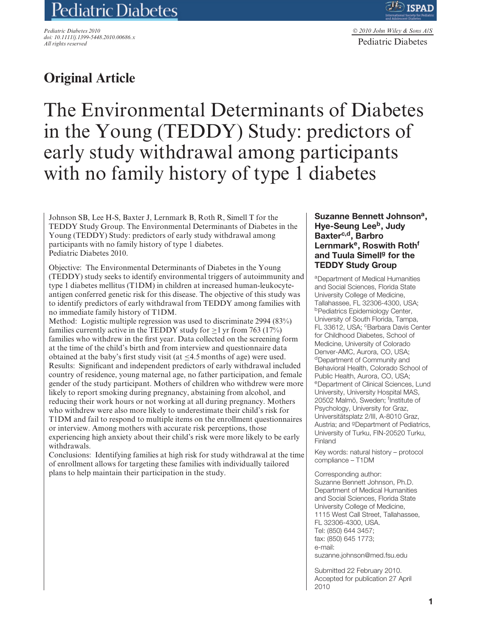# Pediatric Diabetes

*Pediatric Diabetes 2010 doi: 10.1111/j.1399-5448.2010.00686.x All rights reserved*

# **Original Article**

The Environmental Determinants of Diabetes in the Young (TEDDY) Study: predictors of early study withdrawal among participants with no family history of type 1 diabetes

Johnson SB, Lee H-S, Baxter J, Lernmark B, Roth R, Simell T for the TEDDY Study Group. The Environmental Determinants of Diabetes in the Young (TEDDY) Study: predictors of early study withdrawal among participants with no family history of type 1 diabetes. Pediatric Diabetes 2010.

Objective: The Environmental Determinants of Diabetes in the Young (TEDDY) study seeks to identify environmental triggers of autoimmunity and type 1 diabetes mellitus (T1DM) in children at increased human-leukocyteantigen conferred genetic risk for this disease. The objective of this study was to identify predictors of early withdrawal from TEDDY among families with no immediate family history of T1DM.

Method: Logistic multiple regression was used to discriminate 2994 (83%) families currently active in the TEDDY study for  $\geq$  1 yr from 763 (17%) families who withdrew in the first year. Data collected on the screening form at the time of the child's birth and from interview and questionnaire data obtained at the baby's first study visit (at ≤4*.*5 months of age) were used. Results: Significant and independent predictors of early withdrawal included country of residence, young maternal age, no father participation, and female gender of the study participant. Mothers of children who withdrew were more likely to report smoking during pregnancy, abstaining from alcohol, and reducing their work hours or not working at all during pregnancy. Mothers who withdrew were also more likely to underestimate their child's risk for T1DM and fail to respond to multiple items on the enrollment questionnaires or interview. Among mothers with accurate risk perceptions, those experiencing high anxiety about their child's risk were more likely to be early withdrawals.

Conclusions: Identifying families at high risk for study withdrawal at the time of enrollment allows for targeting these families with individually tailored plans to help maintain their participation in the study.

**Suzanne Bennett Johnsona, Hye-Seung Leeb, Judy Baxterc,d, Barbro** Lernmark<sup>e</sup>, Roswith Roth<sup>f</sup> **and Tuula Simell<sup>g</sup> for the TEDDY Study Group**

aDepartment of Medical Humanities and Social Sciences, Florida State University College of Medicine, Tallahassee, FL 32306-4300, USA; **b**Pediatrics Epidemiology Center, University of South Florida, Tampa, FL 33612, USA; <sup>c</sup>Barbara Davis Center for Childhood Diabetes, School of Medicine, University of Colorado Denver-AMC, Aurora, CO, USA; dDepartment of Community and Behavioral Health, Colorado School of Public Health, Aurora, CO, USA; eDepartment of Clinical Sciences, Lund University, University Hospital MAS, 20502 Malmö, Sweden; <sup>f</sup>Institute of Psychology, University for Graz, Universitätsplatz 2/III, A-8010 Graz, Austria; and <sup>g</sup>Department of Pediatrics, University of Turku, FIN-20520 Turku, Finland

Key words: natural history – protocol compliance – T1DM

Corresponding author: Suzanne Bennett Johnson, Ph.D. Department of Medical Humanities and Social Sciences, Florida State University College of Medicine, 1115 West Call Street, Tallahassee, FL 32306-4300, USA. Tel: (850) 644 3457; fax: (850) 645 1773; e-mail: suzanne.johnson@med.fsu.edu

Submitted 22 February 2010. Accepted for publication 27 April 2010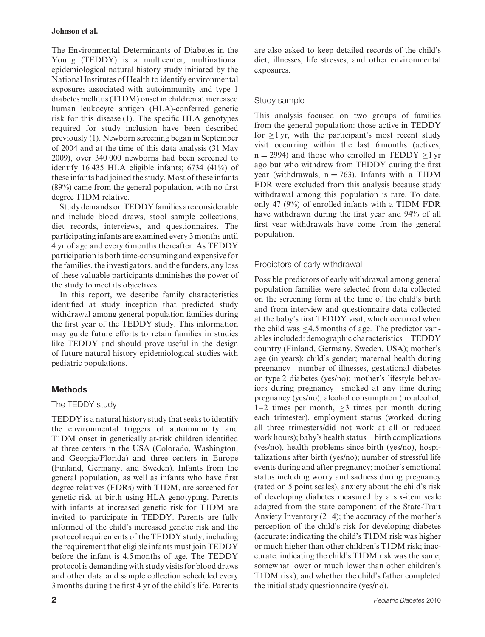#### **Johnson et al.**

The Environmental Determinants of Diabetes in the Young (TEDDY) is a multicenter, multinational epidemiological natural history study initiated by the National Institutes of Health to identify environmental exposures associated with autoimmunity and type 1 diabetes mellitus (T1DM) onset in children at increased human leukocyte antigen (HLA)-conferred genetic risk for this disease (1). The specific HLA genotypes required for study inclusion have been described previously (1). Newborn screening began in September of 2004 and at the time of this data analysis (31 May 2009), over 340 000 newborns had been screened to identify 16 435 HLA eligible infants; 6734 (41%) of these infants had joined the study. Most of these infants (89%) came from the general population, with no first degree T1DM relative.

Study demands on TEDDY families are considerable and include blood draws, stool sample collections, diet records, interviews, and questionnaires. The participating infants are examined every 3 months until 4 yr of age and every 6 months thereafter. As TEDDY participation is both time-consuming and expensive for the families, the investigators, and the funders, any loss of these valuable participants diminishes the power of the study to meet its objectives.

In this report, we describe family characteristics identified at study inception that predicted study withdrawal among general population families during the first year of the TEDDY study. This information may guide future efforts to retain families in studies like TEDDY and should prove useful in the design of future natural history epidemiological studies with pediatric populations.

# **Methods**

#### The TEDDY study

TEDDY is a natural history study that seeks to identify the environmental triggers of autoimmunity and T1DM onset in genetically at-risk children identified at three centers in the USA (Colorado, Washington, and Georgia/Florida) and three centers in Europe (Finland, Germany, and Sweden). Infants from the general population, as well as infants who have first degree relatives (FDRs) with T1DM, are screened for genetic risk at birth using HLA genotyping. Parents with infants at increased genetic risk for T1DM are invited to participate in TEDDY. Parents are fully informed of the child's increased genetic risk and the protocol requirements of the TEDDY study, including the requirement that eligible infants must join TEDDY before the infant is 4.5 months of age. The TEDDY protocol is demanding with study visits for blood draws and other data and sample collection scheduled every 3 months during the first 4 yr of the child's life. Parents are also asked to keep detailed records of the child's diet, illnesses, life stresses, and other environmental exposures.

# Study sample

This analysis focused on two groups of families from the general population: those active in TEDDY for  $>1$  yr, with the participant's most recent study visit occurring within the last 6 months (actives,  $n = 2994$ ) and those who enrolled in TEDDY >1 yr ago but who withdrew from TEDDY during the first year (withdrawals,  $n = 763$ ). Infants with a T1DM FDR were excluded from this analysis because study withdrawal among this population is rare. To date, only 47 (9%) of enrolled infants with a TIDM FDR have withdrawn during the first year and 94% of all first year withdrawals have come from the general population.

# Predictors of early withdrawal

Possible predictors of early withdrawal among general population families were selected from data collected on the screening form at the time of the child's birth and from interview and questionnaire data collected at the baby's first TEDDY visit, which occurred when the child was ≤4*.*5 months of age. The predictor variables included: demographic characteristics – TEDDY country (Finland, Germany, Sweden, USA); mother's age (in years); child's gender; maternal health during pregnancy – number of illnesses, gestational diabetes or type 2 diabetes (yes/no); mother's lifestyle behaviors during pregnancy – smoked at any time during pregnancy (yes/no), alcohol consumption (no alcohol, 1–2 times per month,  $\geq$ 3 times per month during each trimester), employment status (worked during all three trimesters/did not work at all or reduced work hours); baby's health status – birth complications (yes/no), health problems since birth (yes/no), hospitalizations after birth (yes/no); number of stressful life events during and after pregnancy; mother's emotional status including worry and sadness during pregnancy (rated on 5 point scales), anxiety about the child's risk of developing diabetes measured by a six-item scale adapted from the state component of the State-Trait Anxiety Inventory  $(2-4)$ ; the accuracy of the mother's perception of the child's risk for developing diabetes (accurate: indicating the child's T1DM risk was higher or much higher than other children's T1DM risk; inaccurate: indicating the child's T1DM risk was the same, somewhat lower or much lower than other children's T1DM risk); and whether the child's father completed the initial study questionnaire (yes/no).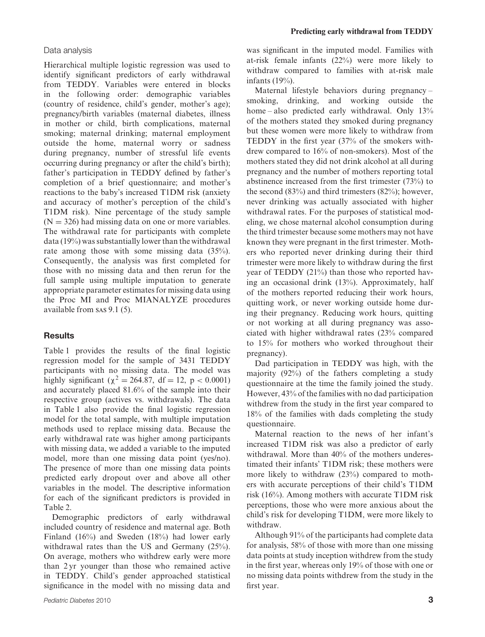Data analysis

Hierarchical multiple logistic regression was used to identify significant predictors of early withdrawal from TEDDY. Variables were entered in blocks in the following order: demographic variables (country of residence, child's gender, mother's age); pregnancy/birth variables (maternal diabetes, illness in mother or child, birth complications, maternal smoking; maternal drinking; maternal employment outside the home, maternal worry or sadness during pregnancy, number of stressful life events occurring during pregnancy or after the child's birth); father's participation in TEDDY defined by father's completion of a brief questionnaire; and mother's reactions to the baby's increased T1DM risk (anxiety and accuracy of mother's perception of the child's T1DM risk). Nine percentage of the study sample  $(N = 326)$  had missing data on one or more variables. The withdrawal rate for participants with complete data (19%) was substantially lower than the withdrawal rate among those with some missing data (35%). Consequently, the analysis was first completed for those with no missing data and then rerun for the full sample using multiple imputation to generate appropriate parameter estimates for missing data using the Proc MI and Proc MIANALYZE procedures available from sas 9.1 (5).

#### **Results**

Table 1 provides the results of the final logistic regression model for the sample of 3431 TEDDY participants with no missing data. The model was highly significant ( $\chi^2 = 264.87$ , df = 12, p < 0.0001) and accurately placed 81.6% of the sample into their respective group (actives vs. withdrawals). The data in Table 1 also provide the final logistic regression model for the total sample, with multiple imputation methods used to replace missing data. Because the early withdrawal rate was higher among participants with missing data, we added a variable to the imputed model, more than one missing data point (yes/no). The presence of more than one missing data points predicted early dropout over and above all other variables in the model. The descriptive information for each of the significant predictors is provided in Table 2.

Demographic predictors of early withdrawal included country of residence and maternal age. Both Finland (16%) and Sweden (18%) had lower early withdrawal rates than the US and Germany (25%). On average, mothers who withdrew early were more than 2 yr younger than those who remained active in TEDDY. Child's gender approached statistical significance in the model with no missing data and

was significant in the imputed model. Families with at-risk female infants (22%) were more likely to withdraw compared to families with at-risk male infants (19%).

Maternal lifestyle behaviors during pregnancy – smoking, drinking, and working outside the home – also predicted early withdrawal. Only 13% of the mothers stated they smoked during pregnancy but these women were more likely to withdraw from TEDDY in the first year (37% of the smokers withdrew compared to 16% of non-smokers). Most of the mothers stated they did not drink alcohol at all during pregnancy and the number of mothers reporting total abstinence increased from the first trimester (73%) to the second (83%) and third trimesters (82%); however, never drinking was actually associated with higher withdrawal rates. For the purposes of statistical modeling, we chose maternal alcohol consumption during the third trimester because some mothers may not have known they were pregnant in the first trimester. Mothers who reported never drinking during their third trimester were more likely to withdraw during the first year of TEDDY (21%) than those who reported having an occasional drink (13%). Approximately, half of the mothers reported reducing their work hours, quitting work, or never working outside home during their pregnancy. Reducing work hours, quitting or not working at all during pregnancy was associated with higher withdrawal rates (23% compared to 15% for mothers who worked throughout their pregnancy).

Dad participation in TEDDY was high, with the majority (92%) of the fathers completing a study questionnaire at the time the family joined the study. However, 43% of the families with no dad participation withdrew from the study in the first year compared to 18% of the families with dads completing the study questionnaire.

Maternal reaction to the news of her infant's increased T1DM risk was also a predictor of early withdrawal. More than 40% of the mothers underestimated their infants' T1DM risk; these mothers were more likely to withdraw (23%) compared to mothers with accurate perceptions of their child's T1DM risk (16%). Among mothers with accurate T1DM risk perceptions, those who were more anxious about the child's risk for developing T1DM, were more likely to withdraw.

Although 91% of the participants had complete data for analysis, 58% of those with more than one missing data points at study inception withdrew from the study in the first year, whereas only 19% of those with one or no missing data points withdrew from the study in the first year.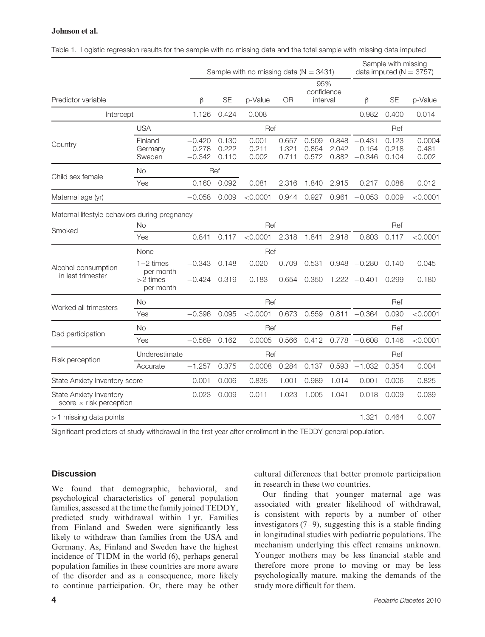#### **Johnson et al.**

|                                                                  |                              | Sample with no missing data ( $N = 3431$ ) |                         |                         |                         | Sample with missing<br>data imputed ( $N = 3757$ ) |                         |                               |                         |                          |
|------------------------------------------------------------------|------------------------------|--------------------------------------------|-------------------------|-------------------------|-------------------------|----------------------------------------------------|-------------------------|-------------------------------|-------------------------|--------------------------|
|                                                                  |                              |                                            |                         |                         |                         | 95%<br>confidence                                  |                         |                               |                         |                          |
| Predictor variable                                               |                              | β                                          | <b>SE</b>               | p-Value                 | 0R                      | interval                                           |                         | β                             | <b>SE</b>               | p-Value                  |
| Intercept                                                        |                              | 1.126                                      | 0.424                   | 0.008                   |                         |                                                    |                         | 0.982                         | 0.400                   | 0.014                    |
| Country                                                          | <b>USA</b>                   |                                            | Ref                     |                         |                         | Ref                                                |                         |                               |                         |                          |
|                                                                  | Finland<br>Germany<br>Sweden | $-0.420$<br>0.278<br>$-0.342$              | 0.130<br>0.222<br>0.110 | 0.001<br>0.211<br>0.002 | 0.657<br>1.321<br>0.711 | 0.509<br>0.854<br>0.572                            | 0.848<br>2.042<br>0.882 | $-0.431$<br>0.154<br>$-0.346$ | 0.123<br>0.218<br>0.104 | 0.0004<br>0.481<br>0.002 |
| Child sex female                                                 | No                           |                                            | Ref                     |                         |                         |                                                    |                         |                               |                         |                          |
|                                                                  | Yes                          | 0.160                                      | 0.092                   | 0.081                   | 2.316                   | 1.840                                              | 2.915                   | 0.217                         | 0.086                   | 0.012                    |
| Maternal age (yr)                                                |                              | $-0.058$                                   | 0.009                   | < 0.0001                | 0.944                   | 0.927                                              | 0.961                   | $-0.053$                      | 0.009                   | < 0.0001                 |
| Maternal lifestyle behaviors during pregnancy                    |                              |                                            |                         |                         |                         |                                                    |                         |                               |                         |                          |
| Smoked                                                           | No                           |                                            |                         | Ref                     |                         |                                                    |                         |                               | Ref                     |                          |
|                                                                  | Yes                          | 0.841                                      | 0.117                   | < 0.0001                | 2.318                   | 1.841                                              | 2.918                   | 0.803                         | 0.117                   | < 0.0001                 |
| Alcohol consumption<br>in last trimester                         | None                         |                                            | Ref                     |                         |                         |                                                    |                         |                               |                         |                          |
|                                                                  | $1-2$ times<br>per month     | $-0.343$                                   | 0.148                   | 0.020                   | 0.709                   | 0.531                                              |                         | $0.948 - 0.280$               | 0.140                   | 0.045                    |
|                                                                  | $>$ 2 times<br>per month     | $-0.424$                                   | 0.319                   | 0.183                   | 0.654                   | 0.350                                              |                         | $1.222 - 0.401$               | 0.299                   | 0.180                    |
| Worked all trimesters                                            | No                           |                                            | Ref                     |                         |                         | Ref                                                |                         |                               |                         |                          |
|                                                                  | Yes                          | $-0.396$                                   | 0.095                   | < 0.0001                | 0.673                   | 0.559                                              |                         | $0.811 - 0.364$               | 0.090                   | < 0.0001                 |
| Dad participation                                                | <b>No</b>                    |                                            | Ref                     |                         |                         |                                                    | Ref                     |                               |                         |                          |
|                                                                  | Yes                          | $-0.569$                                   | 0.162                   | 0.0005                  | 0.566                   | 0.412                                              |                         | $0.778 - 0.608$               | 0.146                   | < 0.0001                 |
| Risk perception                                                  | Underestimate                |                                            | Ref                     |                         |                         | Ref                                                |                         |                               |                         |                          |
|                                                                  | Accurate                     | $-1.257$                                   | 0.375                   | 0.0008                  | 0.284                   | 0.137                                              | 0.593                   | $-1.032$                      | 0.354                   | 0.004                    |
| State Anxiety Inventory score                                    |                              | 0.001                                      | 0.006                   | 0.835                   | 1.001                   | 0.989                                              | 1.014                   | 0.001                         | 0.006                   | 0.825                    |
| <b>State Anxiety Inventory</b><br>score $\times$ risk perception |                              | 0.023                                      | 0.009                   | 0.011                   | 1.023                   | 1.005                                              | 1.041                   | 0.018                         | 0.009                   | 0.039                    |
| >1 missing data points                                           |                              |                                            |                         |                         |                         |                                                    |                         | 1.321                         | 0.464                   | 0.007                    |
|                                                                  |                              |                                            |                         |                         |                         |                                                    |                         |                               |                         |                          |

| Table 1. Logistic regression results for the sample with no missing data and the total sample with missing data imputed |  |  |  |  |
|-------------------------------------------------------------------------------------------------------------------------|--|--|--|--|
|-------------------------------------------------------------------------------------------------------------------------|--|--|--|--|

Significant predictors of study withdrawal in the first year after enrollment in the TEDDY general population.

### **Discussion**

We found that demographic, behavioral, and psychological characteristics of general population families, assessed at the time the family joined TEDDY, predicted study withdrawal within 1 yr. Families from Finland and Sweden were significantly less likely to withdraw than families from the USA and Germany. As, Finland and Sweden have the highest incidence of T1DM in the world (6), perhaps general population families in these countries are more aware of the disorder and as a consequence, more likely to continue participation. Or, there may be other cultural differences that better promote participation in research in these two countries.

Our finding that younger maternal age was associated with greater likelihood of withdrawal, is consistent with reports by a number of other investigators  $(7-9)$ , suggesting this is a stable finding in longitudinal studies with pediatric populations. The mechanism underlying this effect remains unknown. Younger mothers may be less financial stable and therefore more prone to moving or may be less psychologically mature, making the demands of the study more difficult for them.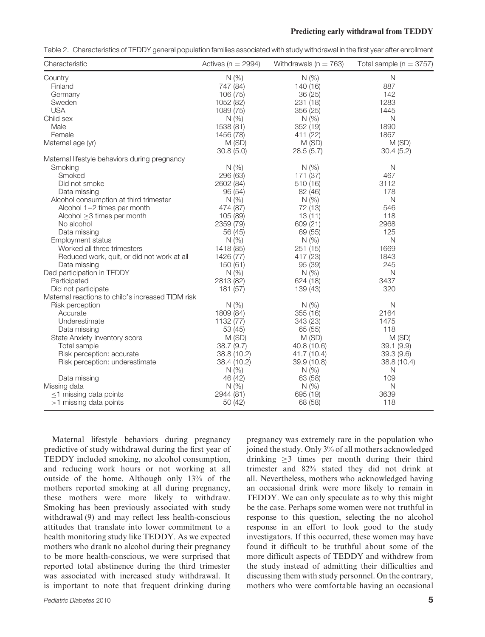#### **Predicting early withdrawal from TEDDY**

Table 2. Characteristics of TEDDY general population families associated with study withdrawal in the first year after enrollment

| Characteristic                                    | Actives ( $n = 2994$ ) | Withdrawals ( $n = 763$ ) | Total sample ( $n = 3757$ ) |
|---------------------------------------------------|------------------------|---------------------------|-----------------------------|
| Country                                           | N(%                    | N(%)                      | N                           |
| Finland                                           | 747 (84)               | 140 (16)                  | 887                         |
| Germany                                           | 106 (75)               | 36 (25)                   | 142                         |
| Sweden                                            | 1052 (82)              | 231 (18)                  | 1283                        |
| <b>USA</b>                                        | 1089 (75)              | 356 (25)                  | 1445                        |
| Child sex                                         | N(% )                  | N(%                       | N                           |
| Male                                              | 1538 (81)              | 352 (19)                  | 1890                        |
| Female                                            | 1456 (78)              | 411 (22)                  | 1867                        |
| Maternal age (yr)                                 | M (SD)                 | M(SD)                     | M (SD)                      |
|                                                   | 30.8(5.0)              | 28.5(5.7)                 | 30.4(5.2)                   |
| Maternal lifestyle behaviors during pregnancy     |                        |                           |                             |
| Smoking                                           | N(% )                  | N(% )                     | N                           |
| Smoked                                            | 296 (63)               | 171 (37)                  | 467                         |
| Did not smoke                                     | 2602 (84)              | 510 (16)                  | 3112                        |
| Data missing                                      | 96 (54)                | 82 (46)                   | 178                         |
| Alcohol consumption at third trimester            | N(% )                  | N(%)                      | N                           |
| Alcohol 1-2 times per month                       | 474 (87)               | 72 (13)                   | 546                         |
| Alcohol $\geq$ 3 times per month                  | 105 (89)               | 13(11)                    | 118                         |
| No alcohol                                        | 2359 (79)              | 609 (21)                  | 2968                        |
| Data missing                                      | 56 (45)                | 69 (55)                   | 125                         |
| <b>Employment status</b>                          | N(% )                  | N(%)                      | N                           |
| Worked all three trimesters                       | 1418 (85)              | 251(15)                   | 1669                        |
| Reduced work, quit, or did not work at all        | 1426 (77)              | 417 (23)                  | 1843                        |
| Data missing                                      | 150 (61)               | 95 (39)                   | 245                         |
| Dad participation in TEDDY                        | N(% )                  | N(%                       | N                           |
| Participated                                      | 2813 (82)              | 624 (18)                  | 3437                        |
| Did not participate                               | 181 (57)               | 139 (43)                  | 320                         |
| Maternal reactions to child's increased TIDM risk |                        |                           |                             |
| Risk perception                                   | N(%)                   | N(%)                      | N                           |
| Accurate                                          | 1809 (84)              | 355 (16)                  | 2164                        |
| Underestimate                                     | 1132 (77)              | 343 (23)                  | 1475                        |
| Data missing                                      | 53 (45)                | 65 (55)                   | 118                         |
| State Anxiety Inventory score                     | M (SD)                 | M (SD)                    | M (SD)                      |
| Total sample                                      | 38.7 (9.7)             | 40.8 (10.6)               | 39.1 (9.9)                  |
| Risk perception: accurate                         | 38.8 (10.2)            | 41.7 (10.4)               | 39.3(9.6)                   |
| Risk perception: underestimate                    | 38.4 (10.2)            | 39.9 (10.8)               | 38.8 (10.4)                 |
|                                                   | N(%)                   | N(% )                     | N                           |
| Data missing                                      | 46 (42)                | 63 (58)                   | 109                         |
| Missing data                                      | N(% )                  | N(%)                      | N                           |
| $\leq$ 1 missing data points                      | 2944 (81)              | 695 (19)                  | 3639                        |
| >1 missing data points                            | 50(42)                 | 68 (58)                   | 118                         |

Maternal lifestyle behaviors during pregnancy predictive of study withdrawal during the first year of TEDDY included smoking, no alcohol consumption, and reducing work hours or not working at all outside of the home. Although only 13% of the mothers reported smoking at all during pregnancy, these mothers were more likely to withdraw. Smoking has been previously associated with study withdrawal (9) and may reflect less health-conscious attitudes that translate into lower commitment to a health monitoring study like TEDDY. As we expected mothers who drank no alcohol during their pregnancy to be more health-conscious, we were surprised that reported total abstinence during the third trimester was associated with increased study withdrawal. It is important to note that frequent drinking during

pregnancy was extremely rare in the population who joined the study. Only 3% of all mothers acknowledged drinking ≥3 times per month during their third trimester and 82% stated they did not drink at all. Nevertheless, mothers who acknowledged having an occasional drink were more likely to remain in TEDDY. We can only speculate as to why this might be the case. Perhaps some women were not truthful in response to this question, selecting the no alcohol response in an effort to look good to the study investigators. If this occurred, these women may have found it difficult to be truthful about some of the more difficult aspects of TEDDY and withdrew from the study instead of admitting their difficulties and discussing them with study personnel. On the contrary, mothers who were comfortable having an occasional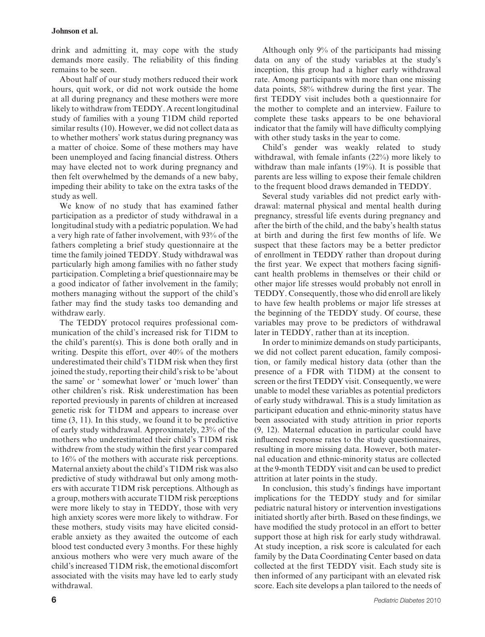#### **Johnson et al.**

drink and admitting it, may cope with the study demands more easily. The reliability of this finding remains to be seen.

About half of our study mothers reduced their work hours, quit work, or did not work outside the home at all during pregnancy and these mothers were more likely to withdraw from TEDDY. A recent longitudinal study of families with a young T1DM child reported similar results (10). However, we did not collect data as to whether mothers' work status during pregnancy was a matter of choice. Some of these mothers may have been unemployed and facing financial distress. Others may have elected not to work during pregnancy and then felt overwhelmed by the demands of a new baby, impeding their ability to take on the extra tasks of the study as well.

We know of no study that has examined father participation as a predictor of study withdrawal in a longitudinal study with a pediatric population. We had a very high rate of father involvement, with 93% of the fathers completing a brief study questionnaire at the time the family joined TEDDY. Study withdrawal was particularly high among families with no father study participation. Completing a brief questionnaire may be a good indicator of father involvement in the family; mothers managing without the support of the child's father may find the study tasks too demanding and withdraw early.

The TEDDY protocol requires professional communication of the child's increased risk for T1DM to the child's parent(s). This is done both orally and in writing. Despite this effort, over 40% of the mothers underestimated their child's T1DM risk when they first joined the study, reporting their child's risk to be 'about the same' or ' somewhat lower' or 'much lower' than other children's risk. Risk underestimation has been reported previously in parents of children at increased genetic risk for T1DM and appears to increase over time (3, 11). In this study, we found it to be predictive of early study withdrawal. Approximately, 23% of the mothers who underestimated their child's T1DM risk withdrew from the study within the first year compared to 16% of the mothers with accurate risk perceptions. Maternal anxiety about the child's T1DM risk was also predictive of study withdrawal but only among mothers with accurate T1DM risk perceptions. Although as a group, mothers with accurate T1DM risk perceptions were more likely to stay in TEDDY, those with very high anxiety scores were more likely to withdraw. For these mothers, study visits may have elicited considerable anxiety as they awaited the outcome of each blood test conducted every 3 months. For these highly anxious mothers who were very much aware of the child's increased T1DM risk, the emotional discomfort associated with the visits may have led to early study withdrawal.

Although only 9% of the participants had missing data on any of the study variables at the study's inception, this group had a higher early withdrawal rate. Among participants with more than one missing data points, 58% withdrew during the first year. The first TEDDY visit includes both a questionnaire for the mother to complete and an interview. Failure to complete these tasks appears to be one behavioral indicator that the family will have difficulty complying with other study tasks in the year to come.

Child's gender was weakly related to study withdrawal, with female infants (22%) more likely to withdraw than male infants (19%). It is possible that parents are less willing to expose their female children to the frequent blood draws demanded in TEDDY.

Several study variables did not predict early withdrawal: maternal physical and mental health during pregnancy, stressful life events during pregnancy and after the birth of the child, and the baby's health status at birth and during the first few months of life. We suspect that these factors may be a better predictor of enrollment in TEDDY rather than dropout during the first year. We expect that mothers facing significant health problems in themselves or their child or other major life stresses would probably not enroll in TEDDY. Consequently, those who did enroll are likely to have few health problems or major life stresses at the beginning of the TEDDY study. Of course, these variables may prove to be predictors of withdrawal later in TEDDY, rather than at its inception.

In order to minimize demands on study participants, we did not collect parent education, family composition, or family medical history data (other than the presence of a FDR with T1DM) at the consent to screen or the first TEDDY visit. Consequently, we were unable to model these variables as potential predictors of early study withdrawal. This is a study limitation as participant education and ethnic-minority status have been associated with study attrition in prior reports (9, 12). Maternal education in particular could have influenced response rates to the study questionnaires, resulting in more missing data. However, both maternal education and ethnic-minority status are collected at the 9-month TEDDY visit and can be used to predict attrition at later points in the study.

In conclusion, this study's findings have important implications for the TEDDY study and for similar pediatric natural history or intervention investigations initiated shortly after birth. Based on these findings, we have modified the study protocol in an effort to better support those at high risk for early study withdrawal. At study inception, a risk score is calculated for each family by the Data Coordinating Center based on data collected at the first TEDDY visit. Each study site is then informed of any participant with an elevated risk score. Each site develops a plan tailored to the needs of